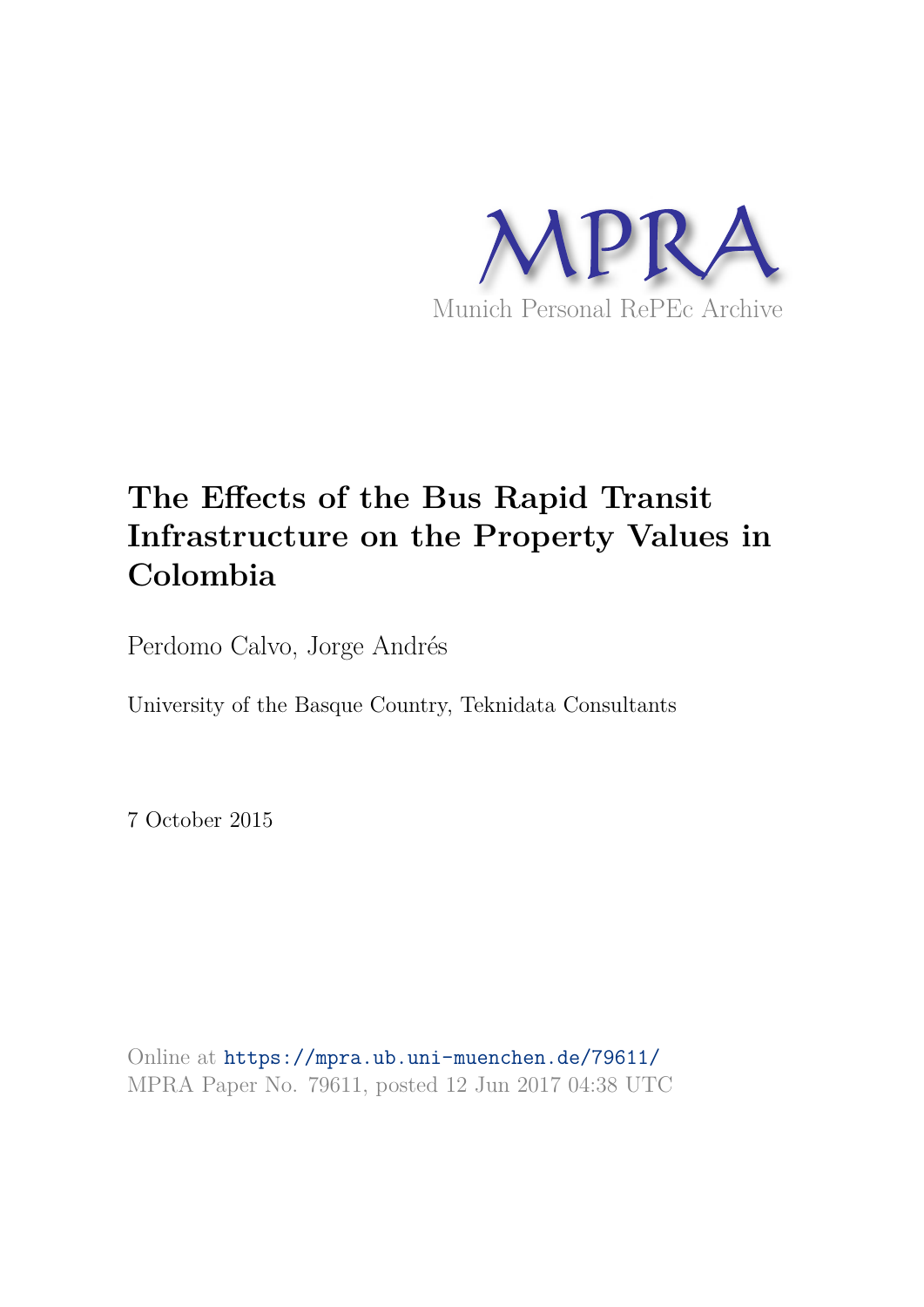

## **The Effects of the Bus Rapid Transit Infrastructure on the Property Values in Colombia**

Perdomo Calvo, Jorge Andrés

University of the Basque Country, Teknidata Consultants

7 October 2015

Online at https://mpra.ub.uni-muenchen.de/79611/ MPRA Paper No. 79611, posted 12 Jun 2017 04:38 UTC